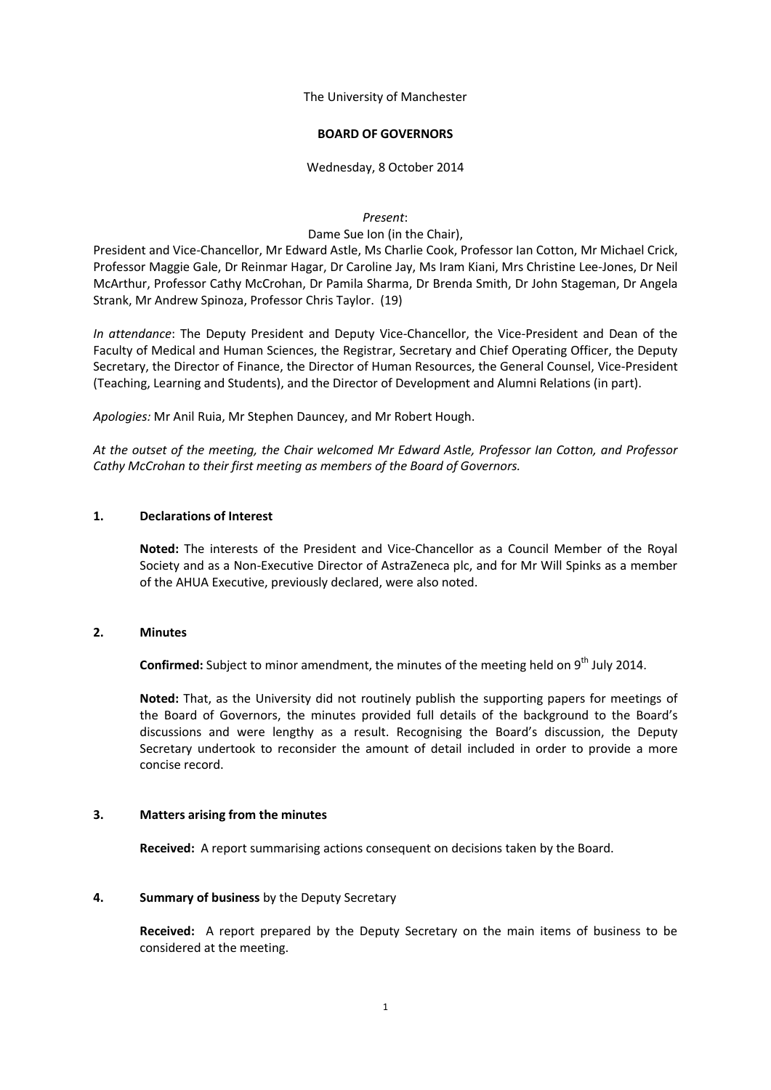The University of Manchester

### **BOARD OF GOVERNORS**

Wednesday, 8 October 2014

*Present*:

Dame Sue Ion (in the Chair),

President and Vice-Chancellor, Mr Edward Astle, Ms Charlie Cook, Professor Ian Cotton, Mr Michael Crick, Professor Maggie Gale, Dr Reinmar Hagar, Dr Caroline Jay, Ms Iram Kiani, Mrs Christine Lee-Jones, Dr Neil McArthur, Professor Cathy McCrohan, Dr Pamila Sharma, Dr Brenda Smith, Dr John Stageman, Dr Angela Strank, Mr Andrew Spinoza, Professor Chris Taylor. (19)

*In attendance*: The Deputy President and Deputy Vice-Chancellor, the Vice-President and Dean of the Faculty of Medical and Human Sciences, the Registrar, Secretary and Chief Operating Officer, the Deputy Secretary, the Director of Finance, the Director of Human Resources, the General Counsel, Vice-President (Teaching, Learning and Students), and the Director of Development and Alumni Relations (in part).

*Apologies:* Mr Anil Ruia, Mr Stephen Dauncey, and Mr Robert Hough.

*At the outset of the meeting, the Chair welcomed Mr Edward Astle, Professor Ian Cotton, and Professor Cathy McCrohan to their first meeting as members of the Board of Governors.*

## **1. Declarations of Interest**

**Noted:** The interests of the President and Vice-Chancellor as a Council Member of the Royal Society and as a Non-Executive Director of AstraZeneca plc, and for Mr Will Spinks as a member of the AHUA Executive, previously declared, were also noted.

### **2. Minutes**

Confirmed: Subject to minor amendment, the minutes of the meeting held on 9<sup>th</sup> July 2014.

**Noted:** That, as the University did not routinely publish the supporting papers for meetings of the Board of Governors, the minutes provided full details of the background to the Board's discussions and were lengthy as a result. Recognising the Board's discussion, the Deputy Secretary undertook to reconsider the amount of detail included in order to provide a more concise record.

### **3. Matters arising from the minutes**

**Received:** A report summarising actions consequent on decisions taken by the Board.

## **4. Summary of business** by the Deputy Secretary

**Received:** A report prepared by the Deputy Secretary on the main items of business to be considered at the meeting.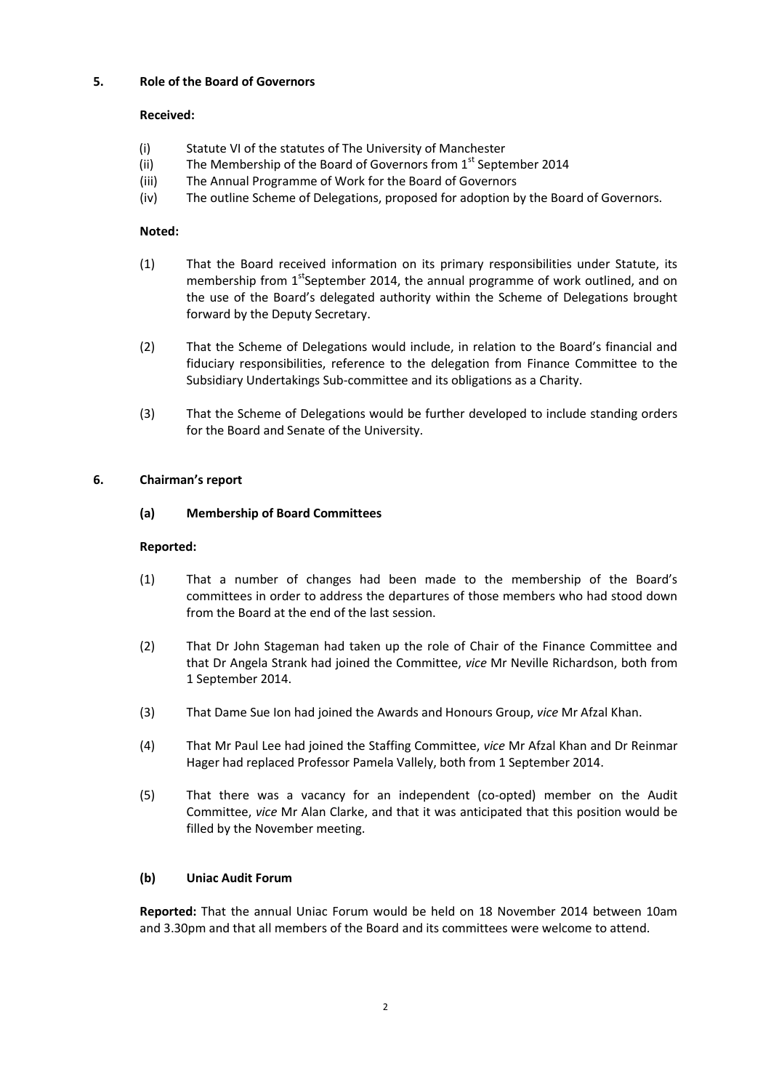# **5. Role of the Board of Governors**

# **Received:**

- (i) Statute VI of the statutes of The University of Manchester
- (ii) The Membership of the Board of Governors from  $1<sup>st</sup>$  September 2014
- (iii) The Annual Programme of Work for the Board of Governors
- (iv) The outline Scheme of Delegations, proposed for adoption by the Board of Governors.

# **Noted:**

- (1) That the Board received information on its primary responsibilities under Statute, its membership from  $1<sup>st</sup>$ September 2014, the annual programme of work outlined, and on the use of the Board's delegated authority within the Scheme of Delegations brought forward by the Deputy Secretary.
- (2) That the Scheme of Delegations would include, in relation to the Board's financial and fiduciary responsibilities, reference to the delegation from Finance Committee to the Subsidiary Undertakings Sub-committee and its obligations as a Charity.
- (3) That the Scheme of Delegations would be further developed to include standing orders for the Board and Senate of the University.

## **6. Chairman's report**

## **(a) Membership of Board Committees**

## **Reported:**

- (1) That a number of changes had been made to the membership of the Board's committees in order to address the departures of those members who had stood down from the Board at the end of the last session.
- (2) That Dr John Stageman had taken up the role of Chair of the Finance Committee and that Dr Angela Strank had joined the Committee, *vice* Mr Neville Richardson, both from 1 September 2014.
- (3) That Dame Sue Ion had joined the Awards and Honours Group, *vice* Mr Afzal Khan.
- (4) That Mr Paul Lee had joined the Staffing Committee, *vice* Mr Afzal Khan and Dr Reinmar Hager had replaced Professor Pamela Vallely, both from 1 September 2014.
- (5) That there was a vacancy for an independent (co-opted) member on the Audit Committee, *vice* Mr Alan Clarke, and that it was anticipated that this position would be filled by the November meeting.

# **(b) Uniac Audit Forum**

**Reported:** That the annual Uniac Forum would be held on 18 November 2014 between 10am and 3.30pm and that all members of the Board and its committees were welcome to attend.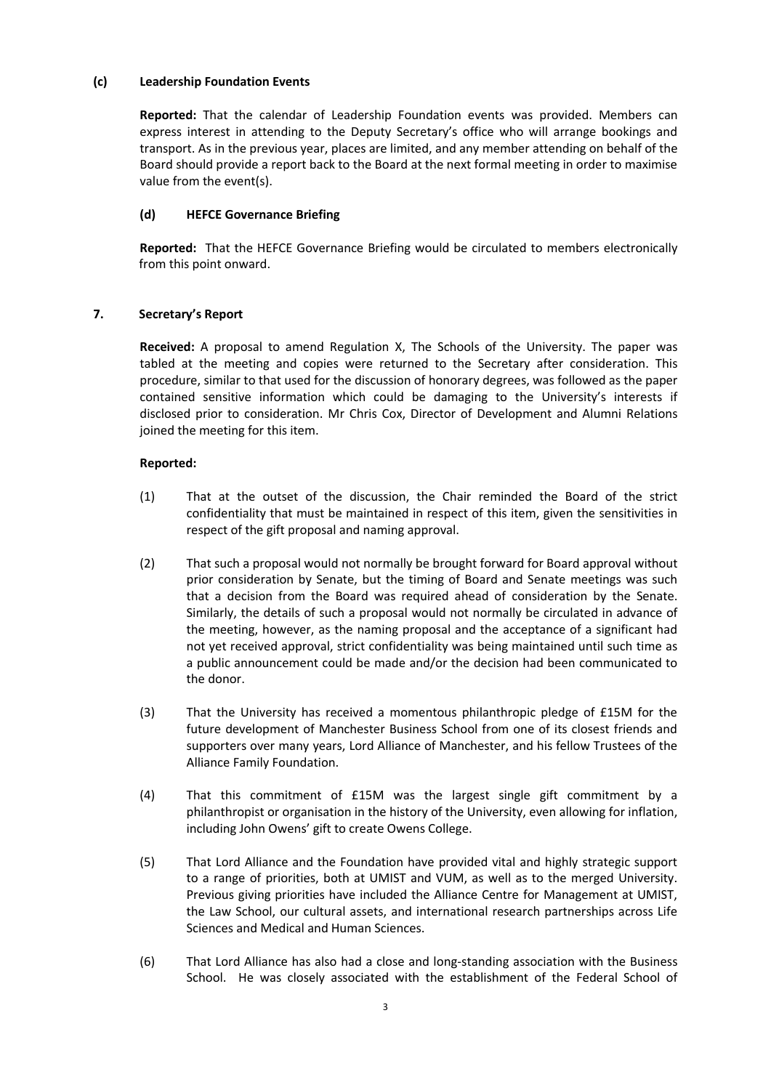## **(c) Leadership Foundation Events**

**Reported:** That the calendar of Leadership Foundation events was provided. Members can express interest in attending to the Deputy Secretary's office who will arrange bookings and transport. As in the previous year, places are limited, and any member attending on behalf of the Board should provide a report back to the Board at the next formal meeting in order to maximise value from the event(s).

# **(d) HEFCE Governance Briefing**

**Reported:** That the HEFCE Governance Briefing would be circulated to members electronically from this point onward.

# **7. Secretary's Report**

**Received:** A proposal to amend Regulation X, The Schools of the University. The paper was tabled at the meeting and copies were returned to the Secretary after consideration. This procedure, similar to that used for the discussion of honorary degrees, was followed as the paper contained sensitive information which could be damaging to the University's interests if disclosed prior to consideration. Mr Chris Cox, Director of Development and Alumni Relations joined the meeting for this item.

# **Reported:**

- (1) That at the outset of the discussion, the Chair reminded the Board of the strict confidentiality that must be maintained in respect of this item, given the sensitivities in respect of the gift proposal and naming approval.
- (2) That such a proposal would not normally be brought forward for Board approval without prior consideration by Senate, but the timing of Board and Senate meetings was such that a decision from the Board was required ahead of consideration by the Senate. Similarly, the details of such a proposal would not normally be circulated in advance of the meeting, however, as the naming proposal and the acceptance of a significant had not yet received approval, strict confidentiality was being maintained until such time as a public announcement could be made and/or the decision had been communicated to the donor.
- (3) That the University has received a momentous philanthropic pledge of £15M for the future development of Manchester Business School from one of its closest friends and supporters over many years, Lord Alliance of Manchester, and his fellow Trustees of the Alliance Family Foundation.
- (4) That this commitment of £15M was the largest single gift commitment by a philanthropist or organisation in the history of the University, even allowing for inflation, including John Owens' gift to create Owens College.
- (5) That Lord Alliance and the Foundation have provided vital and highly strategic support to a range of priorities, both at UMIST and VUM, as well as to the merged University. Previous giving priorities have included the Alliance Centre for Management at UMIST, the Law School, our cultural assets, and international research partnerships across Life Sciences and Medical and Human Sciences.
- (6) That Lord Alliance has also had a close and long-standing association with the Business School. He was closely associated with the establishment of the Federal School of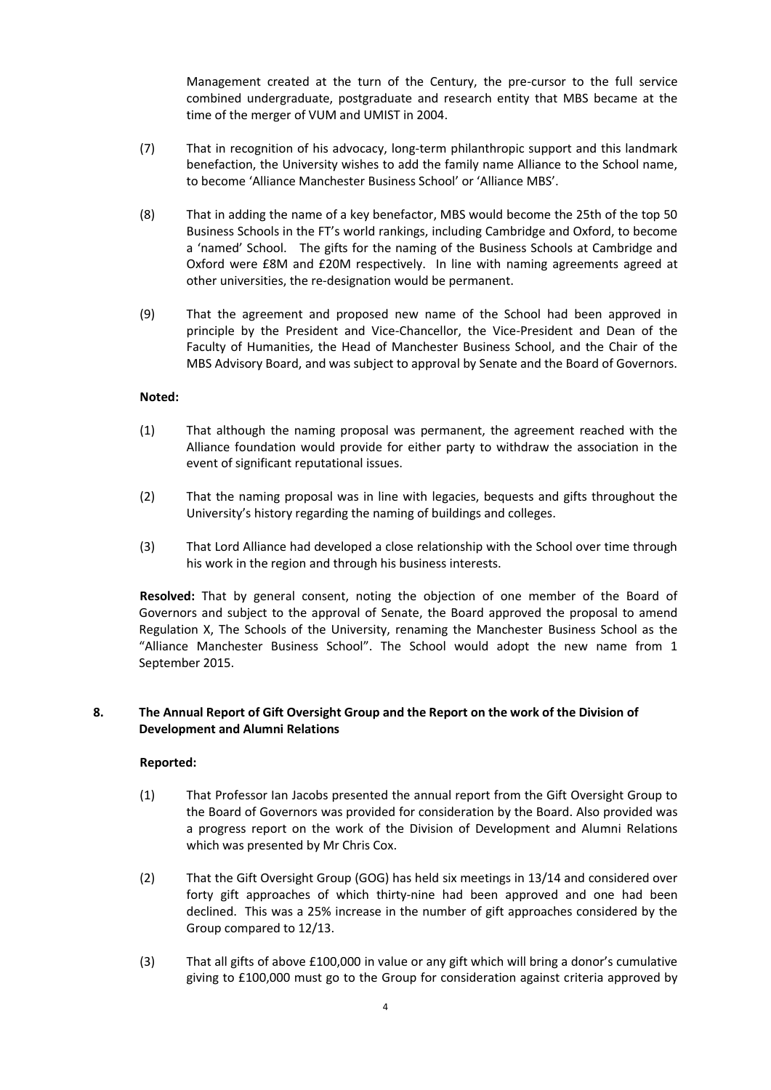Management created at the turn of the Century, the pre-cursor to the full service combined undergraduate, postgraduate and research entity that MBS became at the time of the merger of VUM and UMIST in 2004.

- (7) That in recognition of his advocacy, long-term philanthropic support and this landmark benefaction, the University wishes to add the family name Alliance to the School name, to become 'Alliance Manchester Business School' or 'Alliance MBS'.
- (8) That in adding the name of a key benefactor, MBS would become the 25th of the top 50 Business Schools in the FT's world rankings, including Cambridge and Oxford, to become a 'named' School. The gifts for the naming of the Business Schools at Cambridge and Oxford were £8M and £20M respectively. In line with naming agreements agreed at other universities, the re-designation would be permanent.
- (9) That the agreement and proposed new name of the School had been approved in principle by the President and Vice-Chancellor, the Vice-President and Dean of the Faculty of Humanities, the Head of Manchester Business School, and the Chair of the MBS Advisory Board, and was subject to approval by Senate and the Board of Governors.

## **Noted:**

- (1) That although the naming proposal was permanent, the agreement reached with the Alliance foundation would provide for either party to withdraw the association in the event of significant reputational issues.
- (2) That the naming proposal was in line with legacies, bequests and gifts throughout the University's history regarding the naming of buildings and colleges.
- (3) That Lord Alliance had developed a close relationship with the School over time through his work in the region and through his business interests.

**Resolved:** That by general consent, noting the objection of one member of the Board of Governors and subject to the approval of Senate, the Board approved the proposal to amend Regulation X, The Schools of the University, renaming the Manchester Business School as the "Alliance Manchester Business School". The School would adopt the new name from 1 September 2015.

## **8. The Annual Report of Gift Oversight Group and the Report on the work of the Division of Development and Alumni Relations**

### **Reported:**

- (1) That Professor Ian Jacobs presented the annual report from the Gift Oversight Group to the Board of Governors was provided for consideration by the Board. Also provided was a progress report on the work of the Division of Development and Alumni Relations which was presented by Mr Chris Cox.
- (2) That the Gift Oversight Group (GOG) has held six meetings in 13/14 and considered over forty gift approaches of which thirty-nine had been approved and one had been declined. This was a 25% increase in the number of gift approaches considered by the Group compared to 12/13.
- (3) That all gifts of above £100,000 in value or any gift which will bring a donor's cumulative giving to £100,000 must go to the Group for consideration against criteria approved by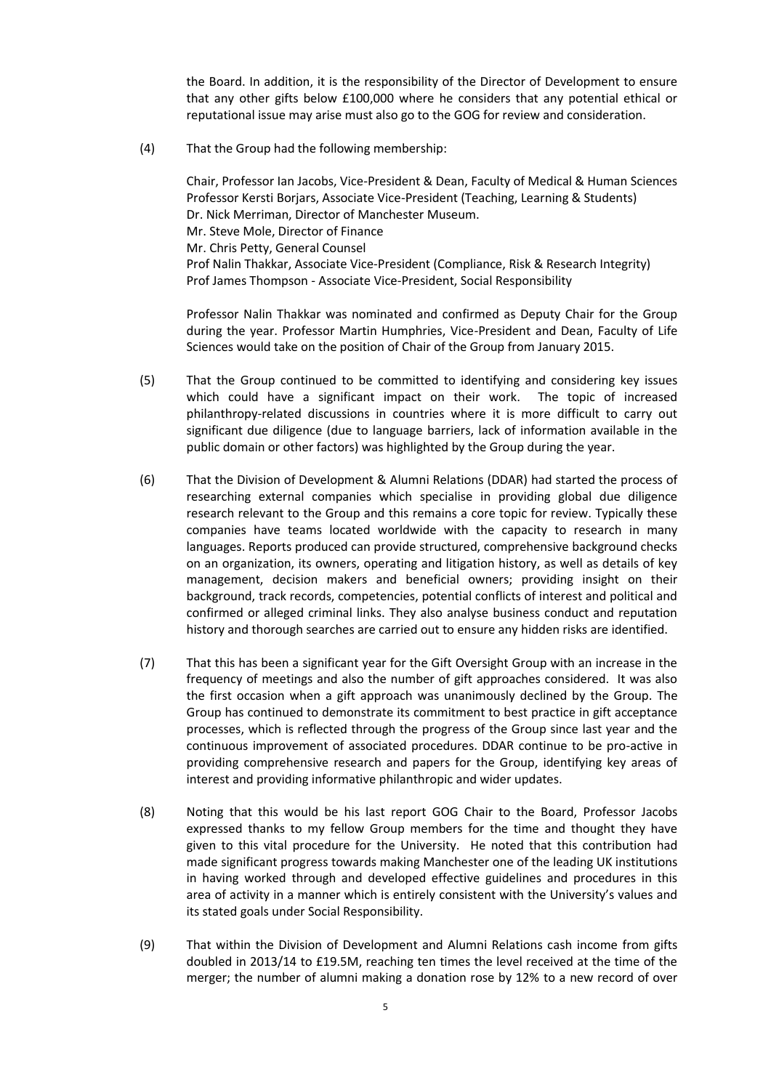the Board. In addition, it is the responsibility of the Director of Development to ensure that any other gifts below £100,000 where he considers that any potential ethical or reputational issue may arise must also go to the GOG for review and consideration.

(4) That the Group had the following membership:

Chair, Professor Ian Jacobs, Vice-President & Dean, Faculty of Medical & Human Sciences Professor Kersti Borjars, Associate Vice-President (Teaching, Learning & Students) Dr. Nick Merriman, Director of Manchester Museum. Mr. Steve Mole, Director of Finance Mr. Chris Petty, General Counsel Prof Nalin Thakkar, Associate Vice-President (Compliance, Risk & Research Integrity) Prof James Thompson - Associate Vice-President, Social Responsibility

Professor Nalin Thakkar was nominated and confirmed as Deputy Chair for the Group during the year. Professor Martin Humphries, Vice-President and Dean, Faculty of Life Sciences would take on the position of Chair of the Group from January 2015.

- (5) That the Group continued to be committed to identifying and considering key issues which could have a significant impact on their work. The topic of increased philanthropy-related discussions in countries where it is more difficult to carry out significant due diligence (due to language barriers, lack of information available in the public domain or other factors) was highlighted by the Group during the year.
- (6) That the Division of Development & Alumni Relations (DDAR) had started the process of researching external companies which specialise in providing global due diligence research relevant to the Group and this remains a core topic for review. Typically these companies have teams located worldwide with the capacity to research in many languages. Reports produced can provide structured, comprehensive background checks on an organization, its owners, operating and litigation history, as well as details of key management, decision makers and beneficial owners; providing insight on their background, track records, competencies, potential conflicts of interest and political and confirmed or alleged criminal links. They also analyse business conduct and reputation history and thorough searches are carried out to ensure any hidden risks are identified.
- (7) That this has been a significant year for the Gift Oversight Group with an increase in the frequency of meetings and also the number of gift approaches considered. It was also the first occasion when a gift approach was unanimously declined by the Group. The Group has continued to demonstrate its commitment to best practice in gift acceptance processes, which is reflected through the progress of the Group since last year and the continuous improvement of associated procedures. DDAR continue to be pro-active in providing comprehensive research and papers for the Group, identifying key areas of interest and providing informative philanthropic and wider updates.
- (8) Noting that this would be his last report GOG Chair to the Board, Professor Jacobs expressed thanks to my fellow Group members for the time and thought they have given to this vital procedure for the University. He noted that this contribution had made significant progress towards making Manchester one of the leading UK institutions in having worked through and developed effective guidelines and procedures in this area of activity in a manner which is entirely consistent with the University's values and its stated goals under Social Responsibility.
- (9) That within the Division of Development and Alumni Relations cash income from gifts doubled in 2013/14 to £19.5M, reaching ten times the level received at the time of the merger; the number of alumni making a donation rose by 12% to a new record of over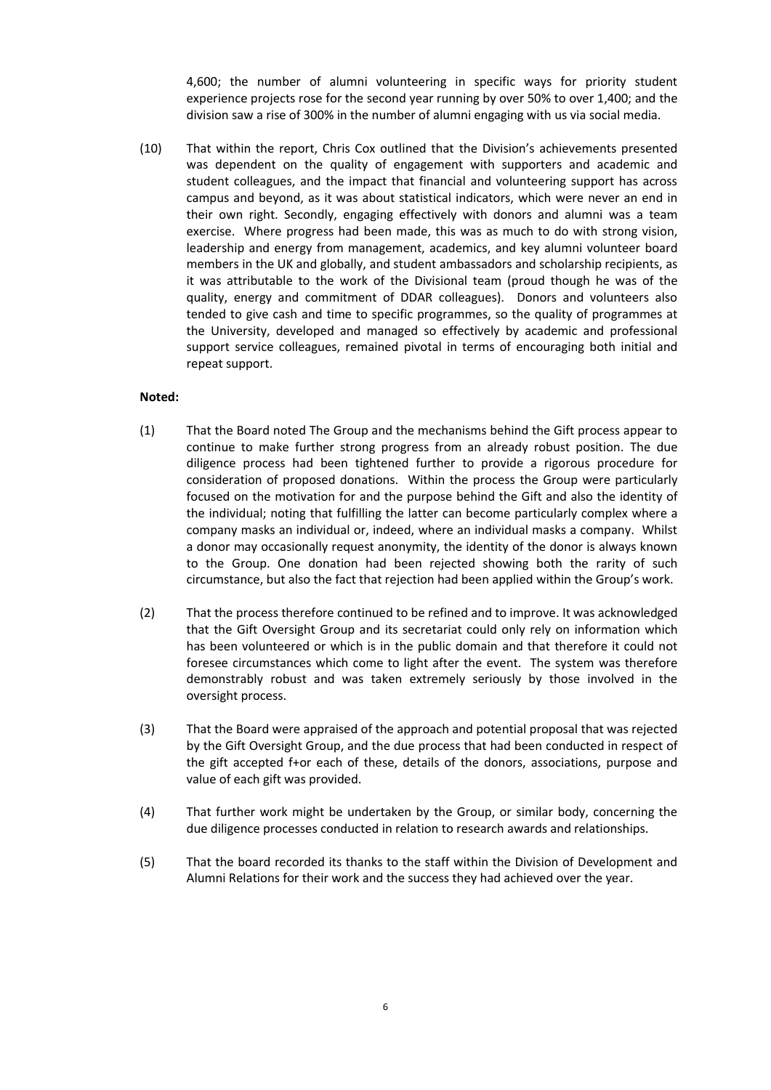4,600; the number of alumni volunteering in specific ways for priority student experience projects rose for the second year running by over 50% to over 1,400; and the division saw a rise of 300% in the number of alumni engaging with us via social media.

(10) That within the report, Chris Cox outlined that the Division's achievements presented was dependent on the quality of engagement with supporters and academic and student colleagues, and the impact that financial and volunteering support has across campus and beyond, as it was about statistical indicators, which were never an end in their own right. Secondly, engaging effectively with donors and alumni was a team exercise. Where progress had been made, this was as much to do with strong vision, leadership and energy from management, academics, and key alumni volunteer board members in the UK and globally, and student ambassadors and scholarship recipients, as it was attributable to the work of the Divisional team (proud though he was of the quality, energy and commitment of DDAR colleagues). Donors and volunteers also tended to give cash and time to specific programmes, so the quality of programmes at the University, developed and managed so effectively by academic and professional support service colleagues, remained pivotal in terms of encouraging both initial and repeat support.

#### **Noted:**

- (1) That the Board noted The Group and the mechanisms behind the Gift process appear to continue to make further strong progress from an already robust position. The due diligence process had been tightened further to provide a rigorous procedure for consideration of proposed donations. Within the process the Group were particularly focused on the motivation for and the purpose behind the Gift and also the identity of the individual; noting that fulfilling the latter can become particularly complex where a company masks an individual or, indeed, where an individual masks a company. Whilst a donor may occasionally request anonymity, the identity of the donor is always known to the Group. One donation had been rejected showing both the rarity of such circumstance, but also the fact that rejection had been applied within the Group's work.
- (2) That the process therefore continued to be refined and to improve. It was acknowledged that the Gift Oversight Group and its secretariat could only rely on information which has been volunteered or which is in the public domain and that therefore it could not foresee circumstances which come to light after the event. The system was therefore demonstrably robust and was taken extremely seriously by those involved in the oversight process.
- (3) That the Board were appraised of the approach and potential proposal that was rejected by the Gift Oversight Group, and the due process that had been conducted in respect of the gift accepted f+or each of these, details of the donors, associations, purpose and value of each gift was provided.
- (4) That further work might be undertaken by the Group, or similar body, concerning the due diligence processes conducted in relation to research awards and relationships.
- (5) That the board recorded its thanks to the staff within the Division of Development and Alumni Relations for their work and the success they had achieved over the year.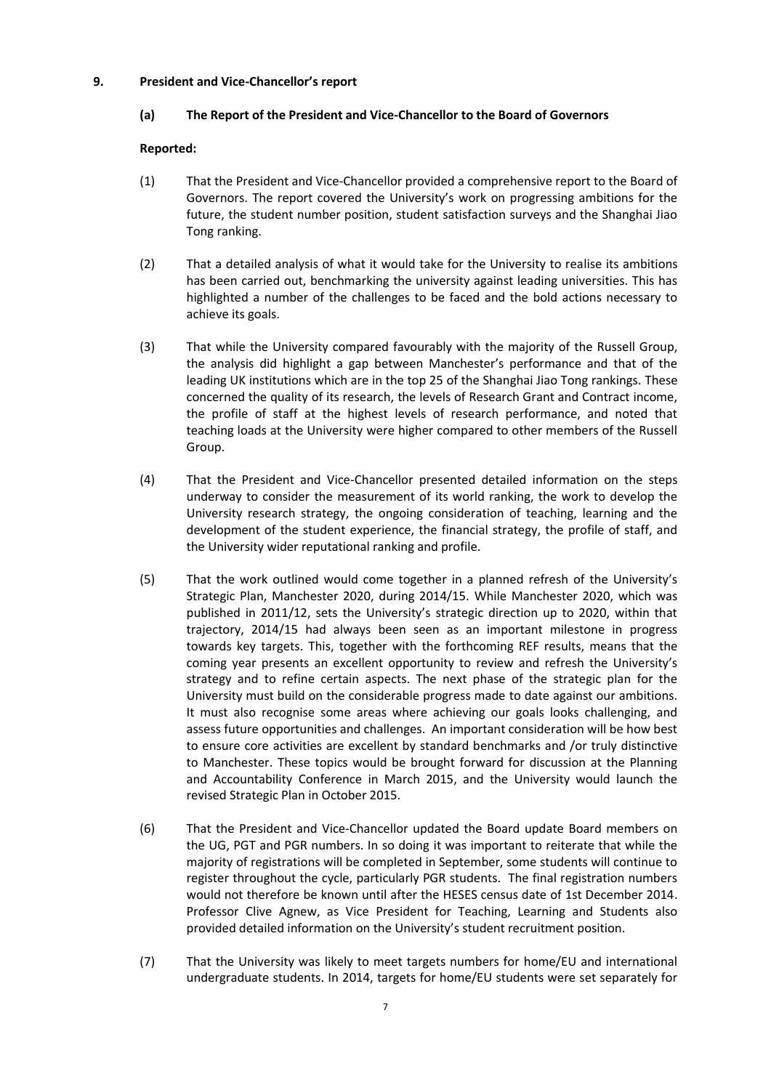## **9. President and Vice-Chancellor's report**

## **(a) The Report of the President and Vice-Chancellor to the Board of Governors**

## **Reported:**

- (1) That the President and Vice-Chancellor provided a comprehensive report to the Board of Governors. The report covered the University's work on progressing ambitions for the future, the student number position, student satisfaction surveys and the Shanghai Jiao Tong ranking.
- (2) That a detailed analysis of what it would take for the University to realise its ambitions has been carried out, benchmarking the university against leading universities. This has highlighted a number of the challenges to be faced and the bold actions necessary to achieve its goals.
- (3) That while the University compared favourably with the majority of the Russell Group, the analysis did highlight a gap between Manchester's performance and that of the leading UK institutions which are in the top 25 of the Shanghai Jiao Tong rankings. These concerned the quality of its research, the levels of Research Grant and Contract income, the profile of staff at the highest levels of research performance, and noted that teaching loads at the University were higher compared to other members of the Russell Group.
- (4) That the President and Vice-Chancellor presented detailed information on the steps underway to consider the measurement of its world ranking, the work to develop the University research strategy, the ongoing consideration of teaching, learning and the development of the student experience, the financial strategy, the profile of staff, and the University wider reputational ranking and profile.
- (5) That the work outlined would come together in a planned refresh of the University's Strategic Plan, Manchester 2020, during 2014/15. While Manchester 2020, which was published in 2011/12, sets the University's strategic direction up to 2020, within that trajectory, 2014/15 had always been seen as an important milestone in progress towards key targets. This, together with the forthcoming REF results, means that the coming year presents an excellent opportunity to review and refresh the University's strategy and to refine certain aspects. The next phase of the strategic plan for the University must build on the considerable progress made to date against our ambitions. It must also recognise some areas where achieving our goals looks challenging, and assess future opportunities and challenges. An important consideration will be how best to ensure core activities are excellent by standard benchmarks and /or truly distinctive to Manchester. These topics would be brought forward for discussion at the Planning and Accountability Conference in March 2015, and the University would launch the revised Strategic Plan in October 2015.
- (6) That the President and Vice-Chancellor updated the Board update Board members on the UG, PGT and PGR numbers. In so doing it was important to reiterate that while the majority of registrations will be completed in September, some students will continue to register throughout the cycle, particularly PGR students. The final registration numbers would not therefore be known until after the HESES census date of 1st December 2014. Professor Clive Agnew, as Vice President for Teaching, Learning and Students also provided detailed information on the University's student recruitment position.
- (7) That the University was likely to meet targets numbers for home/EU and international undergraduate students. In 2014, targets for home/EU students were set separately for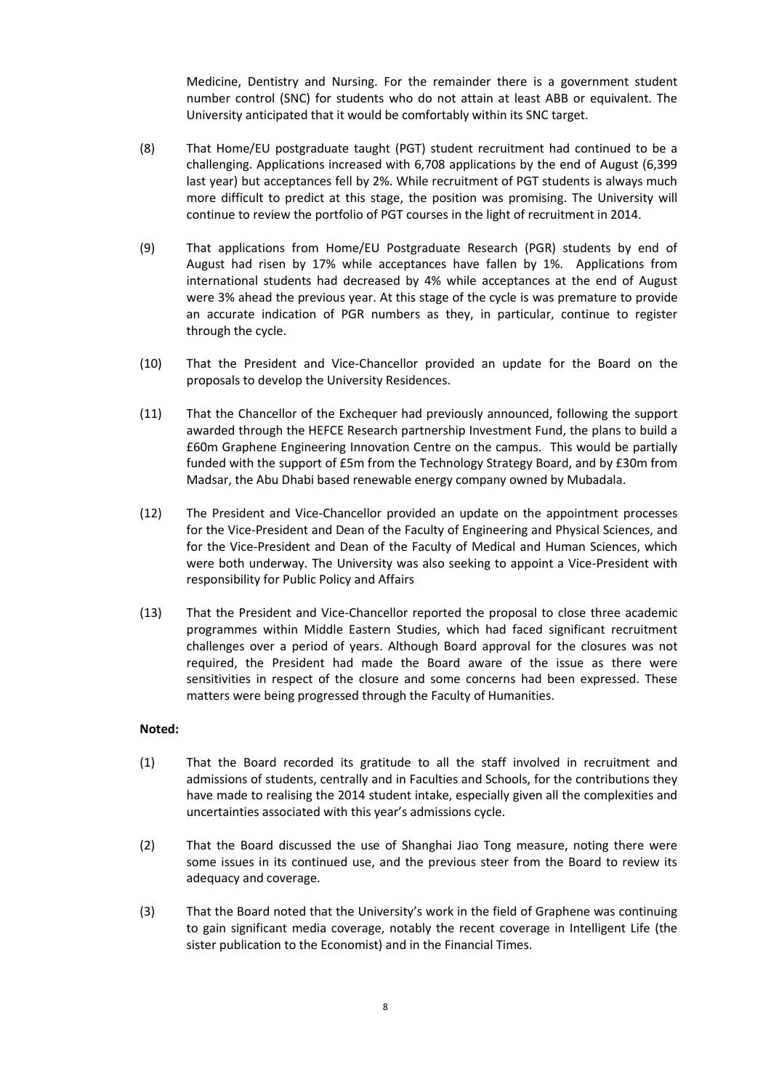Medicine, Dentistry and Nursing. For the remainder there is a government student number control (SNC) for students who do not attain at least ABB or equivalent. The University anticipated that it would be comfortably within its SNC target.

- (8) That Home/EU postgraduate taught (PGT) student recruitment had continued to be a challenging. Applications increased with 6,708 applications by the end of August (6,399 last year) but acceptances fell by 2%. While recruitment of PGT students is always much more difficult to predict at this stage, the position was promising. The University will continue to review the portfolio of PGT courses in the light of recruitment in 2014.
- (9) That applications from Home/EU Postgraduate Research (PGR) students by end of August had risen by 17% while acceptances have fallen by 1%. Applications from international students had decreased by 4% while acceptances at the end of August were 3% ahead the previous year. At this stage of the cycle is was premature to provide an accurate indication of PGR numbers as they, in particular, continue to register through the cycle.
- (10) That the President and Vice-Chancellor provided an update for the Board on the proposals to develop the University Residences.
- (11) That the Chancellor of the Exchequer had previously announced, following the support awarded through the HEFCE Research partnership Investment Fund, the plans to build a £60m Graphene Engineering Innovation Centre on the campus. This would be partially funded with the support of £5m from the Technology Strategy Board, and by £30m from Madsar, the Abu Dhabi based renewable energy company owned by Mubadala.
- (12) The President and Vice-Chancellor provided an update on the appointment processes for the Vice-President and Dean of the Faculty of Engineering and Physical Sciences, and for the Vice-President and Dean of the Faculty of Medical and Human Sciences, which were both underway. The University was also seeking to appoint a Vice-President with responsibility for Public Policy and Affairs
- (13) That the President and Vice-Chancellor reported the proposal to close three academic programmes within Middle Eastern Studies, which had faced significant recruitment challenges over a period of years. Although Board approval for the closures was not required, the President had made the Board aware of the issue as there were sensitivities in respect of the closure and some concerns had been expressed. These matters were being progressed through the Faculty of Humanities.

### **Noted:**

- (1) That the Board recorded its gratitude to all the staff involved in recruitment and admissions of students, centrally and in Faculties and Schools, for the contributions they have made to realising the 2014 student intake, especially given all the complexities and uncertainties associated with this year's admissions cycle.
- (2) That the Board discussed the use of Shanghai Jiao Tong measure, noting there were some issues in its continued use, and the previous steer from the Board to review its adequacy and coverage.
- (3) That the Board noted that the University's work in the field of Graphene was continuing to gain significant media coverage, notably the recent coverage in Intelligent Life (the sister publication to the Economist) and in the Financial Times.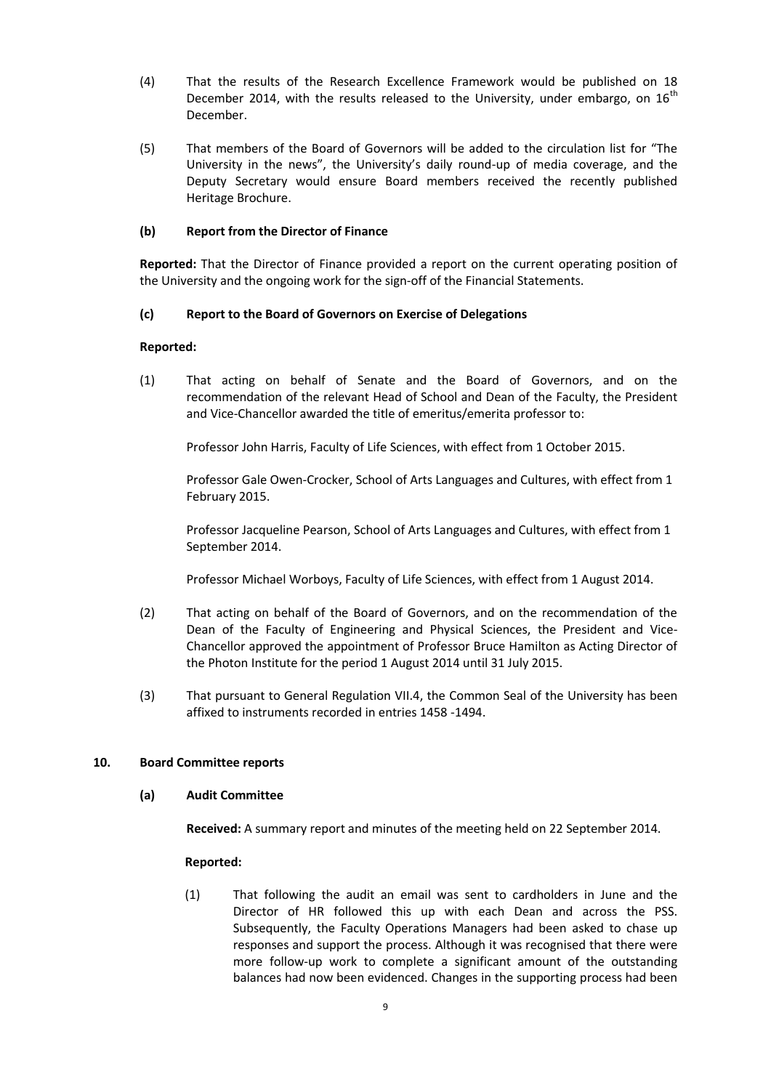- (4) That the results of the Research Excellence Framework would be published on 18 December 2014, with the results released to the University, under embargo, on  $16<sup>th</sup>$ December.
- (5) That members of the Board of Governors will be added to the circulation list for "The University in the news", the University's daily round-up of media coverage, and the Deputy Secretary would ensure Board members received the recently published Heritage Brochure.

### **(b) Report from the Director of Finance**

**Reported:** That the Director of Finance provided a report on the current operating position of the University and the ongoing work for the sign-off of the Financial Statements.

## **(c) Report to the Board of Governors on Exercise of Delegations**

## **Reported:**

(1) That acting on behalf of Senate and the Board of Governors, and on the recommendation of the relevant Head of School and Dean of the Faculty, the President and Vice-Chancellor awarded the title of emeritus/emerita professor to:

Professor John Harris, Faculty of Life Sciences, with effect from 1 October 2015.

Professor Gale Owen-Crocker, School of Arts Languages and Cultures, with effect from 1 February 2015.

Professor Jacqueline Pearson, School of Arts Languages and Cultures, with effect from 1 September 2014.

Professor Michael Worboys, Faculty of Life Sciences, with effect from 1 August 2014.

- (2) That acting on behalf of the Board of Governors, and on the recommendation of the Dean of the Faculty of Engineering and Physical Sciences, the President and Vice-Chancellor approved the appointment of Professor Bruce Hamilton as Acting Director of the Photon Institute for the period 1 August 2014 until 31 July 2015.
- (3) That pursuant to General Regulation VII.4, the Common Seal of the University has been affixed to instruments recorded in entries 1458 -1494.

### **10. Board Committee reports**

### **(a) Audit Committee**

**Received:** A summary report and minutes of the meeting held on 22 September 2014.

### **Reported:**

(1) That following the audit an email was sent to cardholders in June and the Director of HR followed this up with each Dean and across the PSS. Subsequently, the Faculty Operations Managers had been asked to chase up responses and support the process. Although it was recognised that there were more follow-up work to complete a significant amount of the outstanding balances had now been evidenced. Changes in the supporting process had been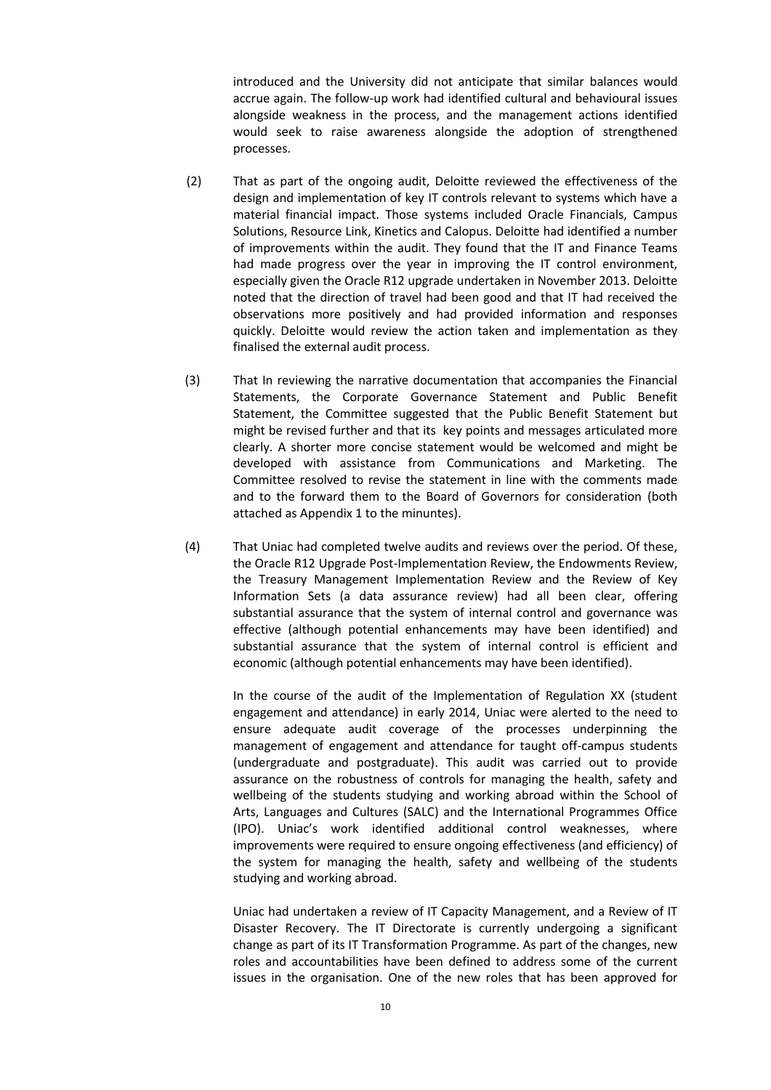introduced and the University did not anticipate that similar balances would accrue again. The follow-up work had identified cultural and behavioural issues alongside weakness in the process, and the management actions identified would seek to raise awareness alongside the adoption of strengthened processes.

- (2) That as part of the ongoing audit, Deloitte reviewed the effectiveness of the design and implementation of key IT controls relevant to systems which have a material financial impact. Those systems included Oracle Financials, Campus Solutions, Resource Link, Kinetics and Calopus. Deloitte had identified a number of improvements within the audit. They found that the IT and Finance Teams had made progress over the year in improving the IT control environment, especially given the Oracle R12 upgrade undertaken in November 2013. Deloitte noted that the direction of travel had been good and that IT had received the observations more positively and had provided information and responses quickly. Deloitte would review the action taken and implementation as they finalised the external audit process.
- (3) That In reviewing the narrative documentation that accompanies the Financial Statements, the Corporate Governance Statement and Public Benefit Statement, the Committee suggested that the Public Benefit Statement but might be revised further and that its key points and messages articulated more clearly. A shorter more concise statement would be welcomed and might be developed with assistance from Communications and Marketing. The Committee resolved to revise the statement in line with the comments made and to the forward them to the Board of Governors for consideration (both attached as Appendix 1 to the minuntes).
- (4) That Uniac had completed twelve audits and reviews over the period. Of these, the Oracle R12 Upgrade Post-Implementation Review, the Endowments Review, the Treasury Management Implementation Review and the Review of Key Information Sets (a data assurance review) had all been clear, offering substantial assurance that the system of internal control and governance was effective (although potential enhancements may have been identified) and substantial assurance that the system of internal control is efficient and economic (although potential enhancements may have been identified).

In the course of the audit of the Implementation of Regulation XX (student engagement and attendance) in early 2014, Uniac were alerted to the need to ensure adequate audit coverage of the processes underpinning the management of engagement and attendance for taught off-campus students (undergraduate and postgraduate). This audit was carried out to provide assurance on the robustness of controls for managing the health, safety and wellbeing of the students studying and working abroad within the School of Arts, Languages and Cultures (SALC) and the International Programmes Office (IPO). Uniac's work identified additional control weaknesses, where improvements were required to ensure ongoing effectiveness (and efficiency) of the system for managing the health, safety and wellbeing of the students studying and working abroad.

Uniac had undertaken a review of IT Capacity Management, and a Review of IT Disaster Recovery. The IT Directorate is currently undergoing a significant change as part of its IT Transformation Programme. As part of the changes, new roles and accountabilities have been defined to address some of the current issues in the organisation. One of the new roles that has been approved for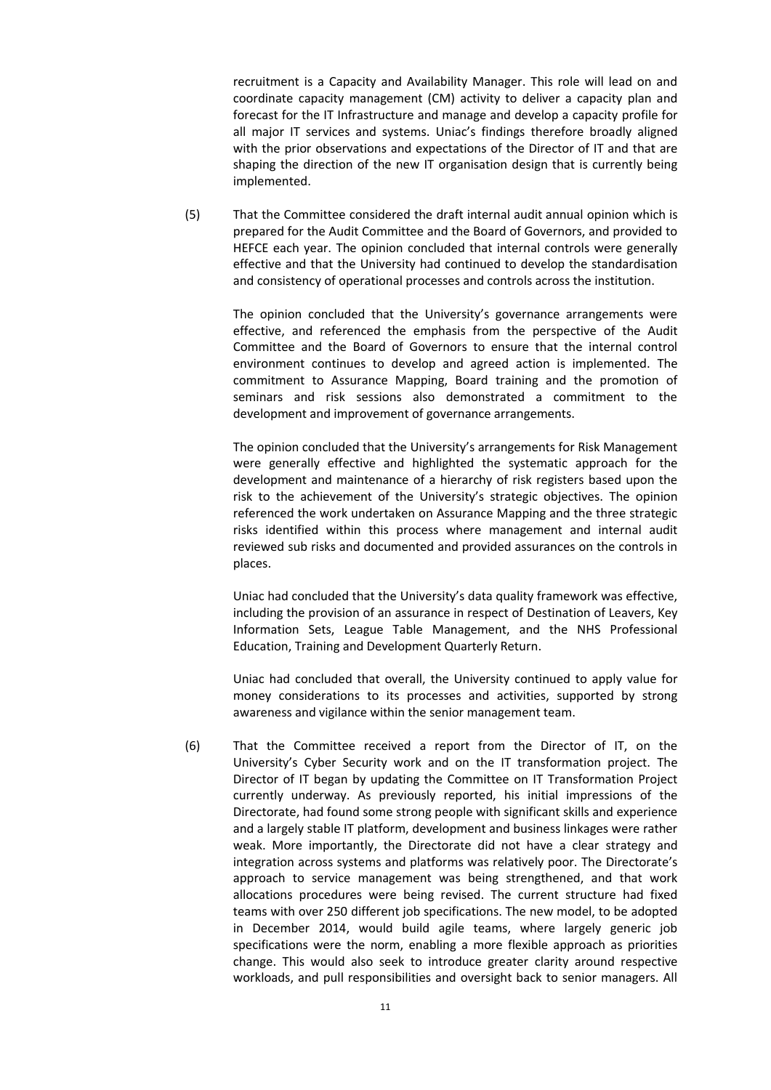recruitment is a Capacity and Availability Manager. This role will lead on and coordinate capacity management (CM) activity to deliver a capacity plan and forecast for the IT Infrastructure and manage and develop a capacity profile for all major IT services and systems. Uniac's findings therefore broadly aligned with the prior observations and expectations of the Director of IT and that are shaping the direction of the new IT organisation design that is currently being implemented.

(5) That the Committee considered the draft internal audit annual opinion which is prepared for the Audit Committee and the Board of Governors, and provided to HEFCE each year. The opinion concluded that internal controls were generally effective and that the University had continued to develop the standardisation and consistency of operational processes and controls across the institution.

> The opinion concluded that the University's governance arrangements were effective, and referenced the emphasis from the perspective of the Audit Committee and the Board of Governors to ensure that the internal control environment continues to develop and agreed action is implemented. The commitment to Assurance Mapping, Board training and the promotion of seminars and risk sessions also demonstrated a commitment to the development and improvement of governance arrangements.

> The opinion concluded that the University's arrangements for Risk Management were generally effective and highlighted the systematic approach for the development and maintenance of a hierarchy of risk registers based upon the risk to the achievement of the University's strategic objectives. The opinion referenced the work undertaken on Assurance Mapping and the three strategic risks identified within this process where management and internal audit reviewed sub risks and documented and provided assurances on the controls in places.

> Uniac had concluded that the University's data quality framework was effective, including the provision of an assurance in respect of Destination of Leavers, Key Information Sets, League Table Management, and the NHS Professional Education, Training and Development Quarterly Return.

> Uniac had concluded that overall, the University continued to apply value for money considerations to its processes and activities, supported by strong awareness and vigilance within the senior management team.

(6) That the Committee received a report from the Director of IT, on the University's Cyber Security work and on the IT transformation project. The Director of IT began by updating the Committee on IT Transformation Project currently underway. As previously reported, his initial impressions of the Directorate, had found some strong people with significant skills and experience and a largely stable IT platform, development and business linkages were rather weak. More importantly, the Directorate did not have a clear strategy and integration across systems and platforms was relatively poor. The Directorate's approach to service management was being strengthened, and that work allocations procedures were being revised. The current structure had fixed teams with over 250 different job specifications. The new model, to be adopted in December 2014, would build agile teams, where largely generic job specifications were the norm, enabling a more flexible approach as priorities change. This would also seek to introduce greater clarity around respective workloads, and pull responsibilities and oversight back to senior managers. All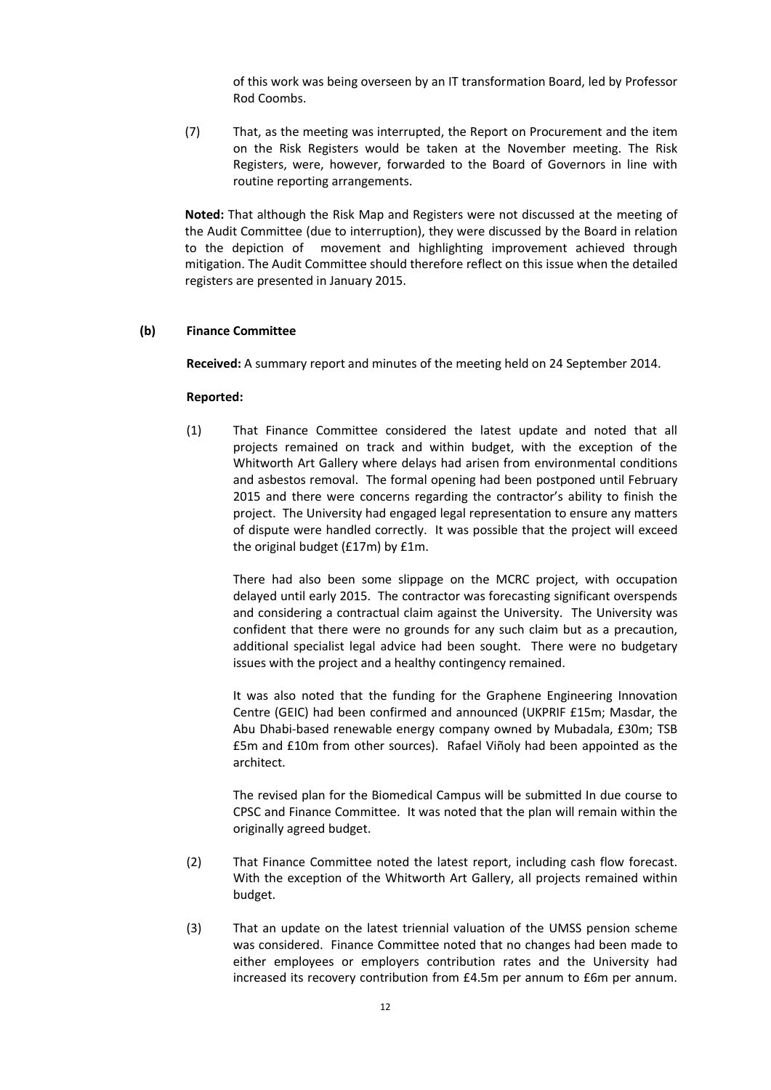of this work was being overseen by an IT transformation Board, led by Professor Rod Coombs.

(7) That, as the meeting was interrupted, the Report on Procurement and the item on the Risk Registers would be taken at the November meeting. The Risk Registers, were, however, forwarded to the Board of Governors in line with routine reporting arrangements.

**Noted:** That although the Risk Map and Registers were not discussed at the meeting of the Audit Committee (due to interruption), they were discussed by the Board in relation to the depiction of movement and highlighting improvement achieved through mitigation. The Audit Committee should therefore reflect on this issue when the detailed registers are presented in January 2015.

#### **(b) Finance Committee**

**Received:** A summary report and minutes of the meeting held on 24 September 2014.

#### **Reported:**

(1) That Finance Committee considered the latest update and noted that all projects remained on track and within budget, with the exception of the Whitworth Art Gallery where delays had arisen from environmental conditions and asbestos removal. The formal opening had been postponed until February 2015 and there were concerns regarding the contractor's ability to finish the project. The University had engaged legal representation to ensure any matters of dispute were handled correctly. It was possible that the project will exceed the original budget (£17m) by £1m.

There had also been some slippage on the MCRC project, with occupation delayed until early 2015. The contractor was forecasting significant overspends and considering a contractual claim against the University. The University was confident that there were no grounds for any such claim but as a precaution, additional specialist legal advice had been sought. There were no budgetary issues with the project and a healthy contingency remained.

It was also noted that the funding for the Graphene Engineering Innovation Centre (GEIC) had been confirmed and announced (UKPRIF £15m; Masdar, the Abu Dhabi-based renewable energy company owned by Mubadala, £30m; TSB £5m and £10m from other sources). Rafael Viñoly had been appointed as the architect.

The revised plan for the Biomedical Campus will be submitted In due course to CPSC and Finance Committee. It was noted that the plan will remain within the originally agreed budget.

- (2) That Finance Committee noted the latest report, including cash flow forecast. With the exception of the Whitworth Art Gallery, all projects remained within budget.
- (3) That an update on the latest triennial valuation of the UMSS pension scheme was considered. Finance Committee noted that no changes had been made to either employees or employers contribution rates and the University had increased its recovery contribution from £4.5m per annum to £6m per annum.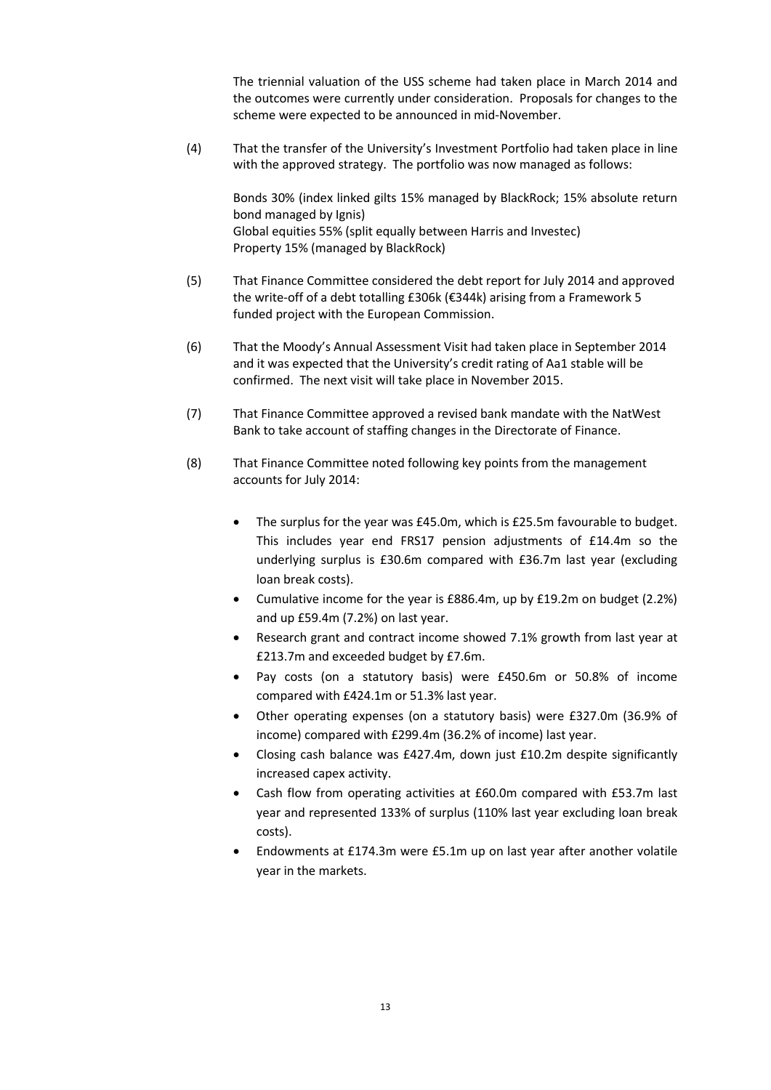The triennial valuation of the USS scheme had taken place in March 2014 and the outcomes were currently under consideration. Proposals for changes to the scheme were expected to be announced in mid-November.

(4) That the transfer of the University's Investment Portfolio had taken place in line with the approved strategy. The portfolio was now managed as follows:

Bonds 30% (index linked gilts 15% managed by BlackRock; 15% absolute return bond managed by Ignis) Global equities 55% (split equally between Harris and Investec) Property 15% (managed by BlackRock)

- (5) That Finance Committee considered the debt report for July 2014 and approved the write-off of a debt totalling £306k (€344k) arising from a Framework 5 funded project with the European Commission.
- (6) That the Moody's Annual Assessment Visit had taken place in September 2014 and it was expected that the University's credit rating of Aa1 stable will be confirmed. The next visit will take place in November 2015.
- (7) That Finance Committee approved a revised bank mandate with the NatWest Bank to take account of staffing changes in the Directorate of Finance.
- (8) That Finance Committee noted following key points from the management accounts for July 2014:
	- The surplus for the year was £45.0m, which is £25.5m favourable to budget. This includes year end FRS17 pension adjustments of £14.4m so the underlying surplus is £30.6m compared with £36.7m last year (excluding loan break costs).
	- Cumulative income for the year is £886.4m, up by £19.2m on budget (2.2%) and up £59.4m (7.2%) on last year.
	- Research grant and contract income showed 7.1% growth from last year at £213.7m and exceeded budget by £7.6m.
	- Pay costs (on a statutory basis) were £450.6m or 50.8% of income compared with £424.1m or 51.3% last year.
	- Other operating expenses (on a statutory basis) were £327.0m (36.9% of income) compared with £299.4m (36.2% of income) last year.
	- Closing cash balance was £427.4m, down just £10.2m despite significantly increased capex activity.
	- Cash flow from operating activities at £60.0m compared with £53.7m last year and represented 133% of surplus (110% last year excluding loan break costs).
	- Endowments at £174.3m were £5.1m up on last year after another volatile year in the markets.